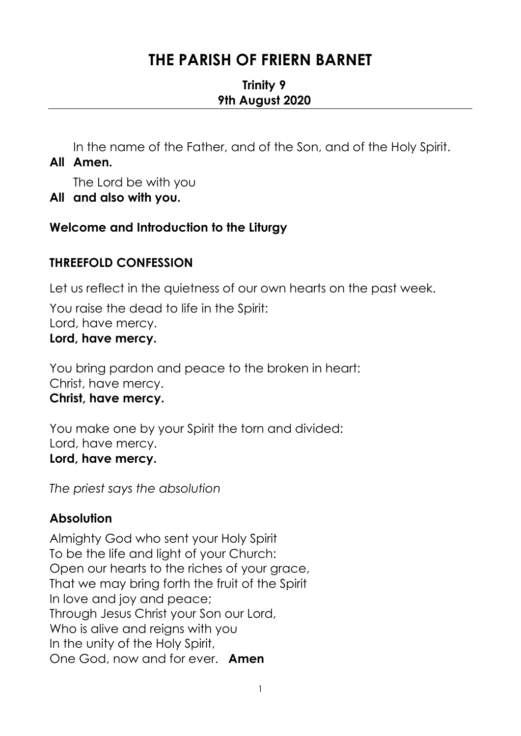# **THE PARISH OF FRIERN BARNET**

### **Trinity 9 9th August 2020**

In the name of the Father, and of the Son, and of the Holy Spirit. **All Amen.** 

The Lord be with you

**All and also with you.** 

## **Welcome and Introduction to the Liturgy**

## **THREEFOLD CONFESSION**

Let us reflect in the quietness of our own hearts on the past week.

You raise the dead to life in the Spirit: Lord, have mercy. **Lord, have mercy.**

You bring pardon and peace to the broken in heart: Christ, have mercy. **Christ, have mercy.**

You make one by your Spirit the torn and divided: Lord, have mercy. **Lord, have mercy.**

*The priest says the absolution*

## **Absolution**

Almighty God who sent your Holy Spirit To be the life and light of your Church: Open our hearts to the riches of your grace, That we may bring forth the fruit of the Spirit In love and joy and peace; Through Jesus Christ your Son our Lord, Who is alive and reigns with you In the unity of the Holy Spirit, One God, now and for ever. **Amen**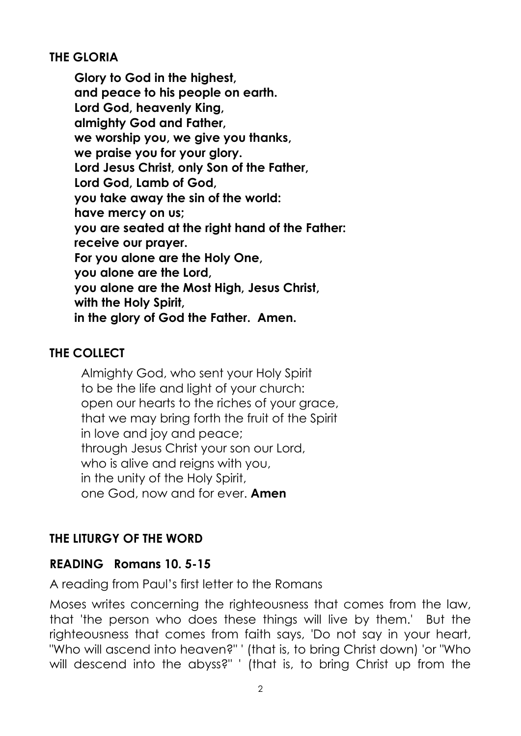### **THE GLORIA**

**Glory to God in the highest, and peace to his people on earth. Lord God, heavenly King, almighty God and Father, we worship you, we give you thanks, we praise you for your glory. Lord Jesus Christ, only Son of the Father, Lord God, Lamb of God, you take away the sin of the world: have mercy on us; you are seated at the right hand of the Father: receive our prayer. For you alone are the Holy One, you alone are the Lord, you alone are the Most High, Jesus Christ, with the Holy Spirit, in the glory of God the Father. Amen.** 

## **THE COLLECT**

Almighty God, who sent your Holy Spirit to be the life and light of your church: open our hearts to the riches of your grace, that we may bring forth the fruit of the Spirit in love and joy and peace; through Jesus Christ your son our Lord, who is alive and reigns with you, in the unity of the Holy Spirit, one God, now and for ever. **Amen**

## **THE LITURGY OF THE WORD**

### **READING Romans 10. 5-15**

A reading from Paul's first letter to the Romans

Moses writes concerning the righteousness that comes from the law, that 'the person who does these things will live by them.' But the righteousness that comes from faith says, 'Do not say in your heart, "Who will ascend into heaven?" ' (that is, to bring Christ down) 'or "Who will descend into the abyss?" ' (that is, to bring Christ up from the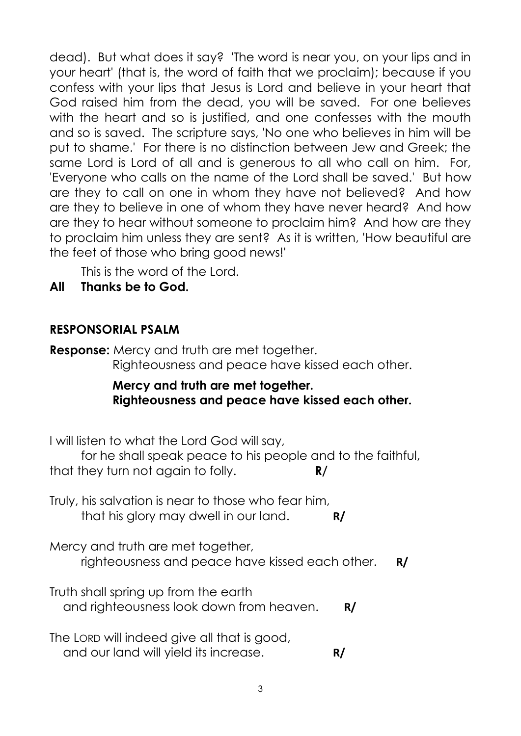dead). But what does it say? 'The word is near you, on your lips and in your heart' (that is, the word of faith that we proclaim); because if you confess with your lips that Jesus is Lord and believe in your heart that God raised him from the dead, you will be saved. For one believes with the heart and so is justified, and one confesses with the mouth and so is saved. The scripture says, 'No one who believes in him will be put to shame.' For there is no distinction between Jew and Greek; the same Lord is Lord of all and is generous to all who call on him. For, 'Everyone who calls on the name of the Lord shall be saved.' But how are they to call on one in whom they have not believed? And how are they to believe in one of whom they have never heard? And how are they to hear without someone to proclaim him? And how are they to proclaim him unless they are sent? As it is written, 'How beautiful are the feet of those who bring good news!'

This is the word of the Lord.

**All Thanks be to God.**

## **RESPONSORIAL PSALM**

**Response:** Mercy and truth are met together. Righteousness and peace have kissed each other.

### **Mercy and truth are met together. Righteousness and peace have kissed each other.**

I will listen to what the Lord God will say,

for he shall speak peace to his people and to the faithful, that they turn not again to folly. **R/**

Truly, his salvation is near to those who fear him, that his glory may dwell in our land. **R/**

Mercy and truth are met together, righteousness and peace have kissed each other. **R/**

Truth shall spring up from the earth and righteousness look down from heaven. **R/**

The LORD will indeed give all that is good, and our land will yield its increase. **R/**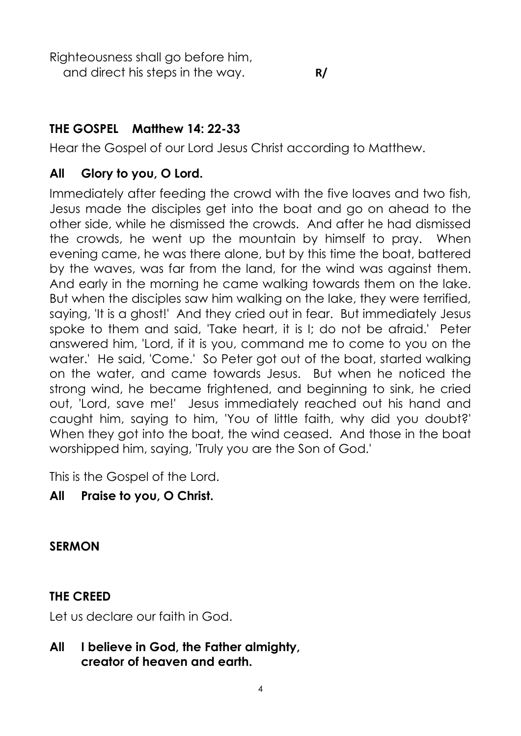Righteousness shall go before him,

and direct his steps in the way. **R/**

## **THE GOSPEL Matthew 14: 22-33**

Hear the Gospel of our Lord Jesus Christ according to Matthew.

## **All Glory to you, O Lord.**

Immediately after feeding the crowd with the five loaves and two fish, Jesus made the disciples get into the boat and go on ahead to the other side, while he dismissed the crowds. And after he had dismissed the crowds, he went up the mountain by himself to pray. When evening came, he was there alone, but by this time the boat, battered by the waves, was far from the land, for the wind was against them. And early in the morning he came walking towards them on the lake. But when the disciples saw him walking on the lake, they were terrified, saying, 'It is a ghost!' And they cried out in fear. But immediately Jesus spoke to them and said, 'Take heart, it is I; do not be afraid.' Peter answered him, 'Lord, if it is you, command me to come to you on the water.' He said, 'Come.' So Peter got out of the boat, started walking on the water, and came towards Jesus. But when he noticed the strong wind, he became frightened, and beginning to sink, he cried out, 'Lord, save me!' Jesus immediately reached out his hand and caught him, saying to him, 'You of little faith, why did you doubt?' When they got into the boat, the wind ceased. And those in the boat worshipped him, saying, 'Truly you are the Son of God.'

This is the Gospel of the Lord.

## **All Praise to you, O Christ.**

**SERMON**

## **THE CREED**

Let us declare our faith in God.

**All I believe in God, the Father almighty, creator of heaven and earth.**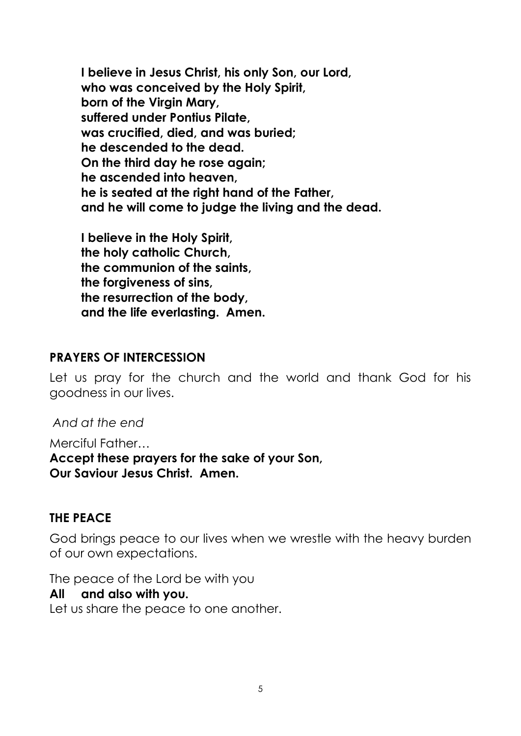**I believe in Jesus Christ, his only Son, our Lord, who was conceived by the Holy Spirit, born of the Virgin Mary, suffered under Pontius Pilate, was crucified, died, and was buried; he descended to the dead. On the third day he rose again; he ascended into heaven, he is seated at the right hand of the Father, and he will come to judge the living and the dead.**

**I believe in the Holy Spirit, the holy catholic Church, the communion of the saints, the forgiveness of sins, the resurrection of the body, and the life everlasting. Amen.**

#### **PRAYERS OF INTERCESSION**

Let us pray for the church and the world and thank God for his goodness in our lives.

*And at the end* 

Merciful Father… **Accept these prayers for the sake of your Son, Our Saviour Jesus Christ. Amen.** 

#### **THE PEACE**

God brings peace to our lives when we wrestle with the heavy burden of our own expectations.

The peace of the Lord be with you

#### **All and also with you.**

Let us share the peace to one another.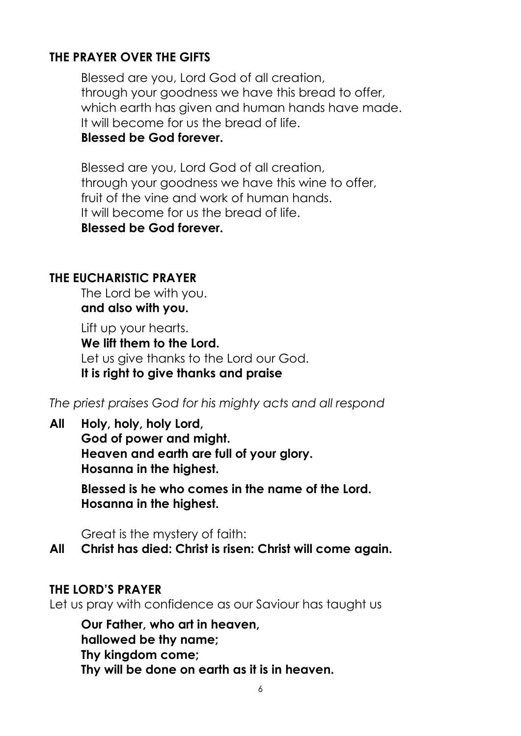## **THE PRAYER OVER THE GIFTS**

Blessed are you, Lord God of all creation, through your goodness we have this bread to offer, which earth has given and human hands have made. It will become for us the bread of life. **Blessed be God forever.**

Blessed are you, Lord God of all creation, through your goodness we have this wine to offer, fruit of the vine and work of human hands. It will become for us the bread of life. **Blessed be God forever.**

#### **THE EUCHARISTIC PRAYER**

The Lord be with you. **and also with you.**

Lift up your hearts. **We lift them to the Lord.** Let us give thanks to the Lord our God. **It is right to give thanks and praise**

*The priest praises God for his mighty acts and all respond*

**All Holy, holy, holy Lord,**

**God of power and might. Heaven and earth are full of your glory. Hosanna in the highest.**

**Blessed is he who comes in the name of the Lord. Hosanna in the highest.**

Great is the mystery of faith:

**All Christ has died: Christ is risen: Christ will come again.** 

### **THE LORD'S PRAYER**

Let us pray with confidence as our Saviour has taught us

**Our Father, who art in heaven, hallowed be thy name; Thy kingdom come; Thy will be done on earth as it is in heaven.**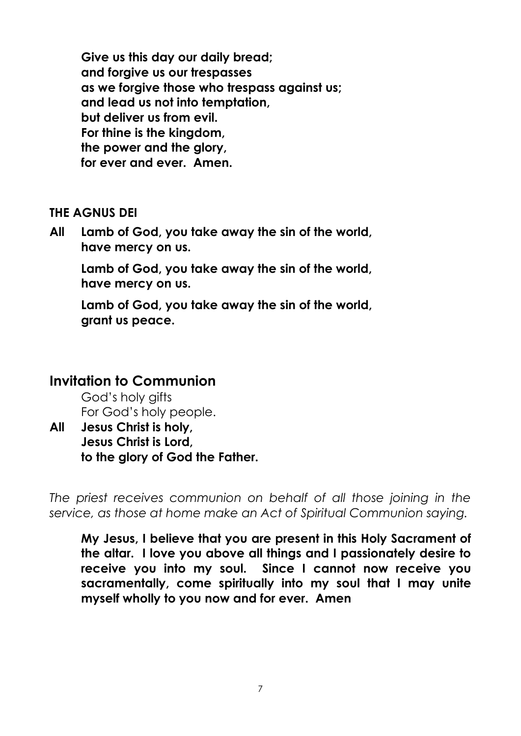**Give us this day our daily bread; and forgive us our trespasses as we forgive those who trespass against us; and lead us not into temptation, but deliver us from evil. For thine is the kingdom, the power and the glory, for ever and ever. Amen.**

#### **THE AGNUS DEI**

**All Lamb of God, you take away the sin of the world, have mercy on us.**

**Lamb of God, you take away the sin of the world, have mercy on us.**

**Lamb of God, you take away the sin of the world, grant us peace.**

## **Invitation to Communion**

God's holy gifts For God's holy people.

**All Jesus Christ is holy, Jesus Christ is Lord, to the glory of God the Father.** 

*The priest receives communion on behalf of all those joining in the service, as those at home make an Act of Spiritual Communion saying.*

**My Jesus, I believe that you are present in this Holy Sacrament of the altar. I love you above all things and I passionately desire to receive you into my soul. Since I cannot now receive you sacramentally, come spiritually into my soul that I may unite myself wholly to you now and for ever. Amen**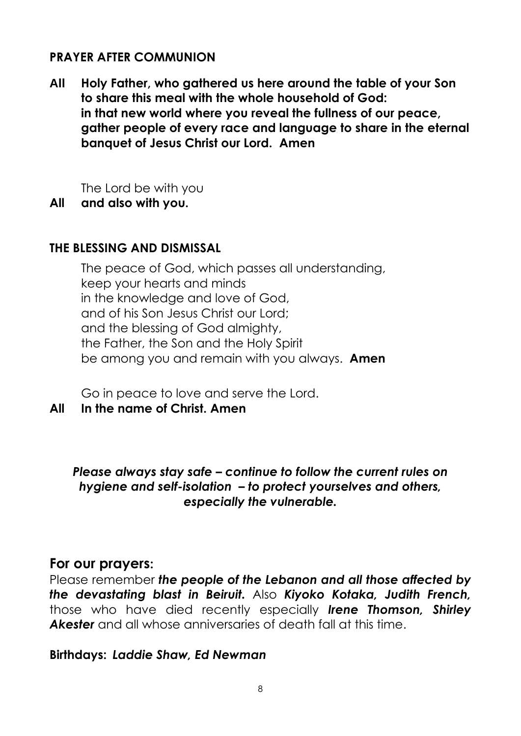### **PRAYER AFTER COMMUNION**

**All Holy Father, who gathered us here around the table of your Son to share this meal with the whole household of God: in that new world where you reveal the fullness of our peace, gather people of every race and language to share in the eternal banquet of Jesus Christ our Lord. Amen**

The Lord be with you

**All and also with you.**

### **THE BLESSING AND DISMISSAL**

The peace of God, which passes all understanding, keep your hearts and minds in the knowledge and love of God, and of his Son Jesus Christ our Lord; and the blessing of God almighty, the Father, the Son and the Holy Spirit be among you and remain with you always. **Amen**

Go in peace to love and serve the Lord.

### **All In the name of Christ. Amen**

*Please always stay safe – continue to follow the current rules on hygiene and self-isolation – to protect yourselves and others, especially the vulnerable.*

### **For our prayers:**

Please remember *the people of the Lebanon and all those affected by the devastating blast in Beiruit.* Also *Kiyoko Kotaka, Judith French,*  those who have died recently especially *Irene Thomson, Shirley Akester* and all whose anniversaries of death fall at this time.

### **Birthdays:** *Laddie Shaw, Ed Newman*